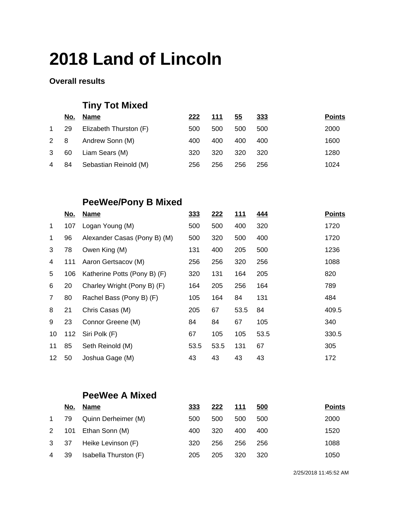#### **Overall results**

## **Tiny Tot Mixed**

|              |     | No. Name               | 222 | 111 | <u>55</u> | 333  | <b>Points</b> |
|--------------|-----|------------------------|-----|-----|-----------|------|---------------|
| $\mathbf{1}$ | -29 | Elizabeth Thurston (F) | 500 | 500 | 500       | 500  | 2000          |
| $2 \quad 8$  |     | Andrew Sonn (M)        | 400 | 400 | 400       | 400  | 1600          |
| 3            | 60  | Liam Sears (M)         | 320 | 320 | 320       | -320 | 1280          |
| 4            | 84  | Sebastian Reinold (M)  | 256 | 256 | 256       | 256  | 1024          |

### **PeeWee/Pony B Mixed**

|                | <u>No.</u> | <b>Name</b>                  | 333  | 222  | <u>111</u> | <u>444</u> | <b>Points</b> |
|----------------|------------|------------------------------|------|------|------------|------------|---------------|
| $\mathbf{1}$   | 107        | Logan Young (M)              | 500  | 500  | 400        | 320        | 1720          |
| $\mathbf{1}$   | 96         | Alexander Casas (Pony B) (M) | 500  | 320  | 500        | 400        | 1720          |
| 3              | 78         | Owen King (M)                | 131  | 400  | 205        | 500        | 1236          |
| $\overline{4}$ | 111        | Aaron Gertsacov (M)          | 256  | 256  | 320        | 256        | 1088          |
| 5              | 106        | Katherine Potts (Pony B) (F) | 320  | 131  | 164        | 205        | 820           |
| 6              | 20         | Charley Wright (Pony B) (F)  | 164  | 205  | 256        | 164        | 789           |
| $\overline{7}$ | 80         | Rachel Bass (Pony B) (F)     | 105  | 164  | 84         | 131        | 484           |
| 8              | 21         | Chris Casas (M)              | 205  | 67   | 53.5       | 84         | 409.5         |
| 9              | 23         | Connor Greene (M)            | 84   | 84   | 67         | 105        | 340           |
| 10             | 112        | Siri Polk (F)                | 67   | 105  | 105        | 53.5       | 330.5         |
| 11             | 85         | Seth Reinold (M)             | 53.5 | 53.5 | 131        | 67         | 305           |
| 12             | 50         | Joshua Gage (M)              | 43   | 43   | 43         | 43         | 172           |

### **PeeWee A Mixed**

|              | <u>No.</u> | Name                  | 333 | 222 | <u> 111</u> | 500 | <b>Points</b> |
|--------------|------------|-----------------------|-----|-----|-------------|-----|---------------|
| $\mathbf{1}$ | 79         | Quinn Derheimer (M)   | 500 | 500 | 500         | 500 | 2000          |
| $2^{\circ}$  |            | 101 Ethan Sonn (M)    | 400 | 320 | 400         | 400 | 1520          |
| 3 37         |            | Heike Levinson (F)    | 320 | 256 | 256         | 256 | 1088          |
| 4            | -39        | Isabella Thurston (F) | 205 | 205 | 320         | 320 | 1050          |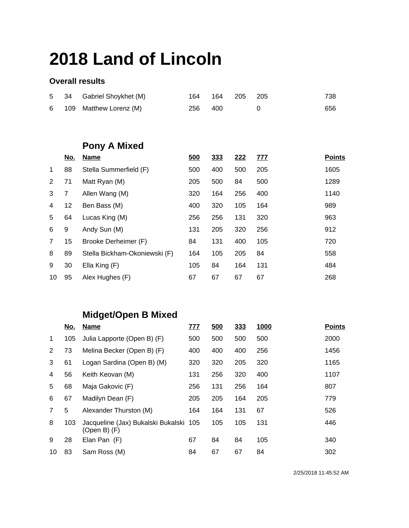#### **Overall results**

| 5              | 34                | Gabriel Shoykhet (M)          | 164 | 164        | 205        | 205        | 738           |
|----------------|-------------------|-------------------------------|-----|------------|------------|------------|---------------|
| 6              | 109               | Matthew Lorenz (M)            | 256 | 400        |            | 0          | 656           |
|                |                   |                               |     |            |            |            |               |
|                |                   |                               |     |            |            |            |               |
|                |                   | Pony A Mixed                  |     |            |            |            |               |
|                | <u>No.</u>        | <b>Name</b>                   | 500 | <u>333</u> | <u>222</u> | <u>777</u> | <b>Points</b> |
| 1              | 88                | Stella Summerfield (F)        | 500 | 400        | 500        | 205        | 1605          |
| 2              | 71                | Matt Ryan (M)                 | 205 | 500        | 84         | 500        | 1289          |
| 3              | 7                 | Allen Wang (M)                | 320 | 164        | 256        | 400        | 1140          |
| 4              | $12 \overline{ }$ | Ben Bass (M)                  | 400 | 320        | 105        | 164        | 989           |
| 5              | 64                | Lucas King (M)                | 256 | 256        | 131        | 320        | 963           |
| 6              | 9                 | Andy Sun (M)                  | 131 | 205        | 320        | 256        | 912           |
| $\overline{7}$ | 15                | Brooke Derheimer (F)          | 84  | 131        | 400        | 105        | 720           |
| 8              | 89                | Stella Bickham-Okoniewski (F) | 164 | 105        | 205        | 84         | 558           |
| 9              | 30                | Ella King (F)                 | 105 | 84         | 164        | 131        | 484           |
| 10             | 95                | Alex Hughes (F)               | 67  | 67         | 67         | 67         | 268           |

## **Midget/Open B Mixed**

|                | <u>No.</u> | <b>Name</b>                                            | <u>777</u> | 500 | 333 | <u>1000</u> | <b>Points</b> |
|----------------|------------|--------------------------------------------------------|------------|-----|-----|-------------|---------------|
| $\mathbf{1}$   | 105        | Julia Lapporte (Open B) (F)                            | 500        | 500 | 500 | 500         | 2000          |
| 2              | 73         | Melina Becker (Open B) (F)                             | 400        | 400 | 400 | 256         | 1456          |
| 3              | 61         | Logan Sardina (Open B) (M)                             | 320        | 320 | 205 | 320         | 1165          |
| 4              | 56         | Keith Keovan (M)                                       | 131        | 256 | 320 | 400         | 1107          |
| 5              | 68         | Maja Gakovic (F)                                       | 256        | 131 | 256 | 164         | 807           |
| 6              | 67         | Madilyn Dean (F)                                       | 205        | 205 | 164 | 205         | 779           |
| $\overline{7}$ | 5          | Alexander Thurston (M)                                 | 164        | 164 | 131 | 67          | 526           |
| 8              | 103        | Jacqueline (Jax) Bukalski Bukalski 105<br>(Open B) (F) |            | 105 | 105 | 131         | 446           |
| 9              | 28         | Elan Pan (F)                                           | 67         | 84  | 84  | 105         | 340           |
| 10             | 83         | Sam Ross (M)                                           | 84         | 67  | 67  | 84          | 302           |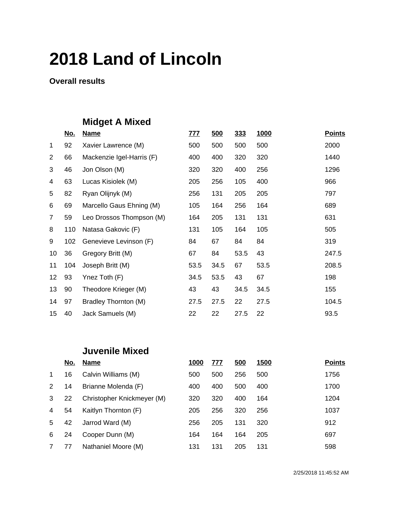**Overall results**

## **Midget A Mixed**

|                | <u>No.</u> | <b>Name</b>               | <u>777</u> | <u>500</u> | <u>333</u> | 1000 | <b>Points</b> |
|----------------|------------|---------------------------|------------|------------|------------|------|---------------|
| 1              | 92         | Xavier Lawrence (M)       | 500        | 500        | 500        | 500  | 2000          |
| $\overline{2}$ | 66         | Mackenzie Igel-Harris (F) | 400        | 400        | 320        | 320  | 1440          |
| 3              | 46         | Jon Olson (M)             | 320        | 320        | 400        | 256  | 1296          |
| 4              | 63         | Lucas Kisiolek (M)        | 205        | 256        | 105        | 400  | 966           |
| 5              | 82         | Ryan Olijnyk (M)          | 256        | 131        | 205        | 205  | 797           |
| 6              | 69         | Marcello Gaus Ehning (M)  | 105        | 164        | 256        | 164  | 689           |
| $\overline{7}$ | 59         | Leo Drossos Thompson (M)  | 164        | 205        | 131        | 131  | 631           |
| 8              | 110        | Natasa Gakovic (F)        | 131        | 105        | 164        | 105  | 505           |
| 9              | 102        | Genevieve Levinson (F)    | 84         | 67         | 84         | 84   | 319           |
| 10             | 36         | Gregory Britt (M)         | 67         | 84         | 53.5       | 43   | 247.5         |
| 11             | 104        | Joseph Britt (M)          | 53.5       | 34.5       | 67         | 53.5 | 208.5         |
| 12             | 93         | Ynez Toth (F)             | 34.5       | 53.5       | 43         | 67   | 198           |
| 13             | 90         | Theodore Krieger (M)      | 43         | 43         | 34.5       | 34.5 | 155           |
| 14             | 97         | Bradley Thornton (M)      | 27.5       | 27.5       | 22         | 27.5 | 104.5         |
| 15             | 40         | Jack Samuels (M)          | 22         | 22         | 27.5       | 22   | 93.5          |

#### **Juvenile Mixed**

|             | <u>No.</u> | <b>Name</b>                | 1000 | 777 | 500 | 1500 | <b>Points</b> |
|-------------|------------|----------------------------|------|-----|-----|------|---------------|
| $\mathbf 1$ | 16         | Calvin Williams (M)        | 500  | 500 | 256 | 500  | 1756          |
| 2           | 14         | Brianne Molenda (F)        | 400  | 400 | 500 | 400  | 1700          |
| 3           | 22         | Christopher Knickmeyer (M) | 320  | 320 | 400 | 164  | 1204          |
| 4           | 54         | Kaitlyn Thornton (F)       | 205  | 256 | 320 | 256  | 1037          |
| 5           | 42         | Jarrod Ward (M)            | 256  | 205 | 131 | 320  | 912           |
| 6           | 24         | Cooper Dunn (M)            | 164  | 164 | 164 | 205  | 697           |
| 7           | 77         | Nathaniel Moore (M)        | 131  | 131 | 205 | 131  | 598           |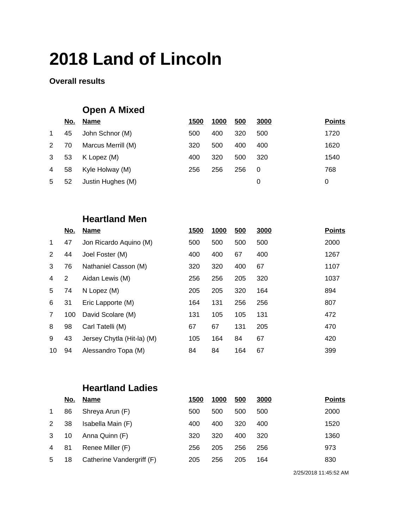#### **Overall results**

### **Open A Mixed**

|             | <u>No.</u> | Name               | 1500 | 1000 | 500 | <u>3000</u> | <b>Points</b> |
|-------------|------------|--------------------|------|------|-----|-------------|---------------|
| $\mathbf 1$ | 45         | John Schnor (M)    | 500  | 400  | 320 | 500         | 1720          |
| $2^{\circ}$ | 70         | Marcus Merrill (M) | 320  | 500  | 400 | 400         | 1620          |
| 3           | 53         | K Lopez (M)        | 400  | 320  | 500 | 320         | 1540          |
| 4           | 58         | Kyle Holway (M)    | 256  | 256  | 256 | -0          | 768           |
| 5           | 52         | Justin Hughes (M)  |      |      |     | 0           | 0             |

### **Heartland Men**

|             | <u>No.</u> | <b>Name</b>                | <b>1500</b> | 1000 | 500 | 3000 | <b>Points</b> |
|-------------|------------|----------------------------|-------------|------|-----|------|---------------|
| $\mathbf 1$ | 47         | Jon Ricardo Aquino (M)     | 500         | 500  | 500 | 500  | 2000          |
| 2           | 44         | Joel Foster (M)            | 400         | 400  | 67  | 400  | 1267          |
| 3           | 76         | Nathaniel Casson (M)       | 320         | 320  | 400 | 67   | 1107          |
| 4           | 2          | Aidan Lewis (M)            | 256         | 256  | 205 | 320  | 1037          |
| 5           | 74         | N Lopez (M)                | 205         | 205  | 320 | 164  | 894           |
| 6           | 31         | Eric Lapporte (M)          | 164         | 131  | 256 | 256  | 807           |
| 7           | 100        | David Scolare (M)          | 131         | 105  | 105 | 131  | 472           |
| 8           | 98         | Carl Tatelli (M)           | 67          | 67   | 131 | 205  | 470           |
| 9           | 43         | Jersey Chytla (Hit-la) (M) | 105         | 164  | 84  | 67   | 420           |
| 10          | 94         | Alessandro Topa (M)        | 84          | 84   | 164 | 67   | 399           |

### **Heartland Ladies**

|             | <u>No.</u> | <u>Name</u>               | <u>1500</u> | 1000 | 500 | 3000 | <b>Points</b> |
|-------------|------------|---------------------------|-------------|------|-----|------|---------------|
| $\mathbf 1$ | 86         | Shreya Arun (F)           | 500         | 500  | 500 | 500  | 2000          |
| 2           | 38         | Isabella Main (F)         | 400         | 400  | 320 | 400  | 1520          |
| 3           | 10         | Anna Quinn (F)            | 320         | 320  | 400 | 320  | 1360          |
| 4           | 81         | Renee Miller (F)          | 256         | 205  | 256 | 256  | 973           |
| 5           | 18         | Catherine Vandergriff (F) | 205         | 256  | 205 | 164  | 830           |